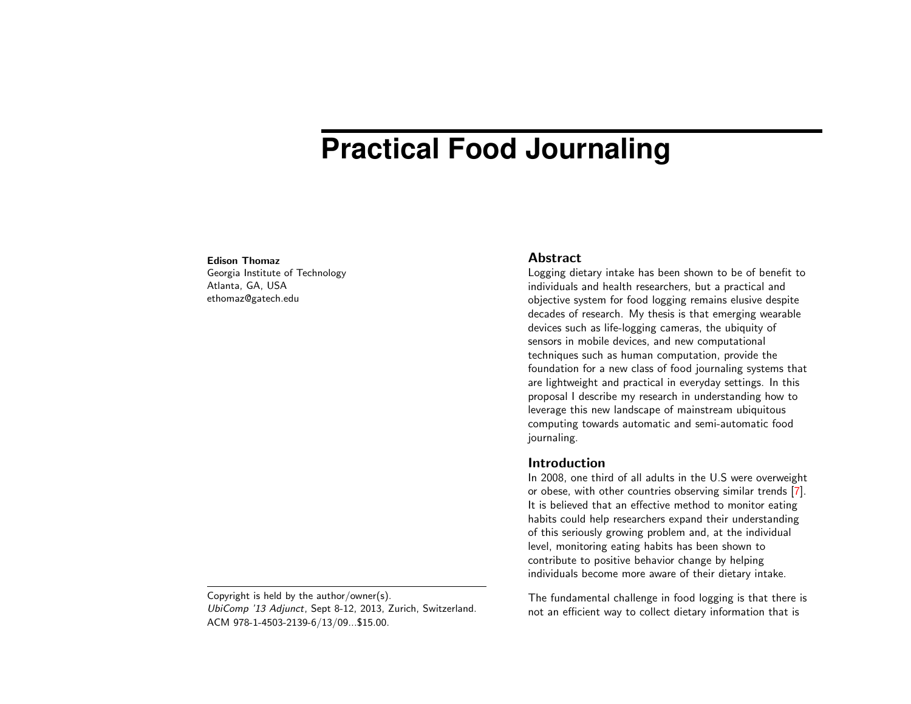# **Practical Food Journaling**

#### Edison Thomaz

Georgia Institute of Technology Atlanta, GA, USA ethomaz@gatech.edu

Copyright is held by the author/owner(s). UbiComp '13 Adjunct, Sept 8-12, 2013, Zurich, Switzerland. ACM 978-1-4503-2139-6/13/09...\$15.00.

### Abstract

Logging dietary intake has been shown to be of benefit to individuals and health researchers, but a practical and objective system for food logging remains elusive despite decades of research. My thesis is that emerging wearable devices such as life-logging cameras, the ubiquity of sensors in mobile devices, and new computational techniques such as human computation, provide the foundation for a new class of food journaling systems that are lightweight and practical in everyday settings. In this proposal I describe my research in understanding how to leverage this new landscape of mainstream ubiquitous computing towards automatic and semi-automatic food journaling.

### **Introduction**

In 2008, one third of all adults in the U.S were overweight or obese, with other countries observing similar trends [\[7\]](#page-5-0). It is believed that an effective method to monitor eating habits could help researchers expand their understanding of this seriously growing problem and, at the individual level, monitoring eating habits has been shown to contribute to positive behavior change by helping individuals become more aware of their dietary intake.

The fundamental challenge in food logging is that there is not an efficient way to collect dietary information that is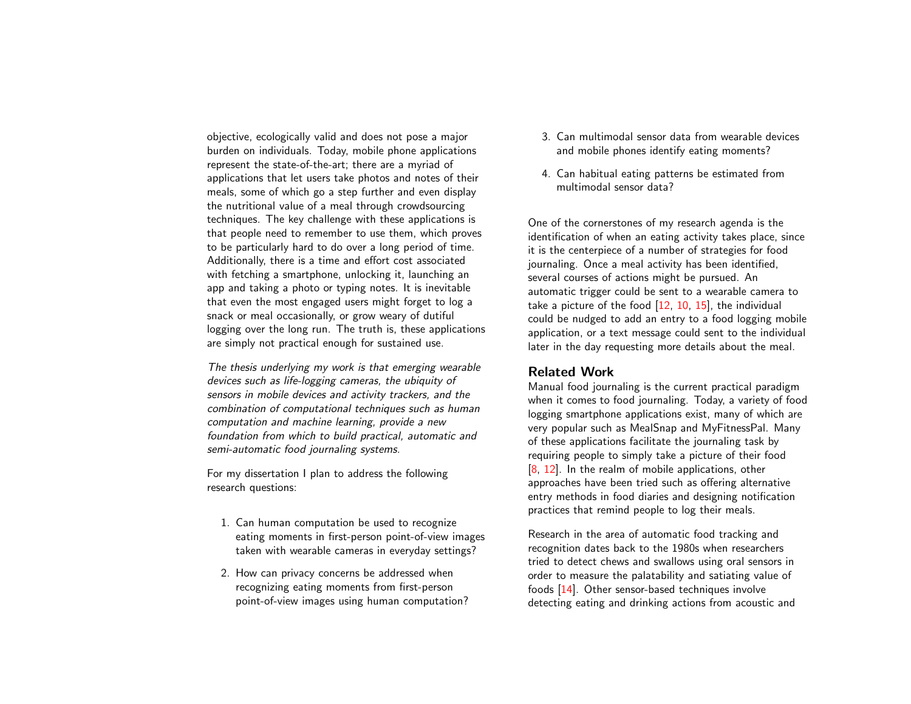objective, ecologically valid and does not pose a major burden on individuals. Today, mobile phone applications represent the state-of-the-art; there are a myriad of applications that let users take photos and notes of their meals, some of which go a step further and even display the nutritional value of a meal through crowdsourcing techniques. The key challenge with these applications is that people need to remember to use them, which proves to be particularly hard to do over a long period of time. Additionally, there is a time and effort cost associated with fetching a smartphone, unlocking it, launching an app and taking a photo or typing notes. It is inevitable that even the most engaged users might forget to log a snack or meal occasionally, or grow weary of dutiful logging over the long run. The truth is, these applications are simply not practical enough for sustained use.

The thesis underlying my work is that emerging wearable devices such as life-logging cameras, the ubiquity of sensors in mobile devices and activity trackers, and the combination of computational techniques such as human computation and machine learning, provide a new foundation from which to build practical, automatic and semi-automatic food journaling systems.

For my dissertation I plan to address the following research questions:

- 1. Can human computation be used to recognize eating moments in first-person point-of-view images taken with wearable cameras in everyday settings?
- 2. How can privacy concerns be addressed when recognizing eating moments from first-person point-of-view images using human computation?
- 3. Can multimodal sensor data from wearable devices and mobile phones identify eating moments?
- 4. Can habitual eating patterns be estimated from multimodal sensor data?

One of the cornerstones of my research agenda is the identification of when an eating activity takes place, since it is the centerpiece of a number of strategies for food journaling. Once a meal activity has been identified, several courses of actions might be pursued. An automatic trigger could be sent to a wearable camera to take a picture of the food  $[12, 10, 15]$  $[12, 10, 15]$  $[12, 10, 15]$  $[12, 10, 15]$  $[12, 10, 15]$ , the individual could be nudged to add an entry to a food logging mobile application, or a text message could sent to the individual later in the day requesting more details about the meal.

# Related Work

Manual food journaling is the current practical paradigm when it comes to food journaling. Today, a variety of food logging smartphone applications exist, many of which are very popular such as MealSnap and MyFitnessPal. Many of these applications facilitate the journaling task by requiring people to simply take a picture of their food [\[8,](#page-5-4) [12\]](#page-5-1). In the realm of mobile applications, other approaches have been tried such as offering alternative entry methods in food diaries and designing notification practices that remind people to log their meals.

Research in the area of automatic food tracking and recognition dates back to the 1980s when researchers tried to detect chews and swallows using oral sensors in order to measure the palatability and satiating value of foods [\[14\]](#page-5-5). Other sensor-based techniques involve detecting eating and drinking actions from acoustic and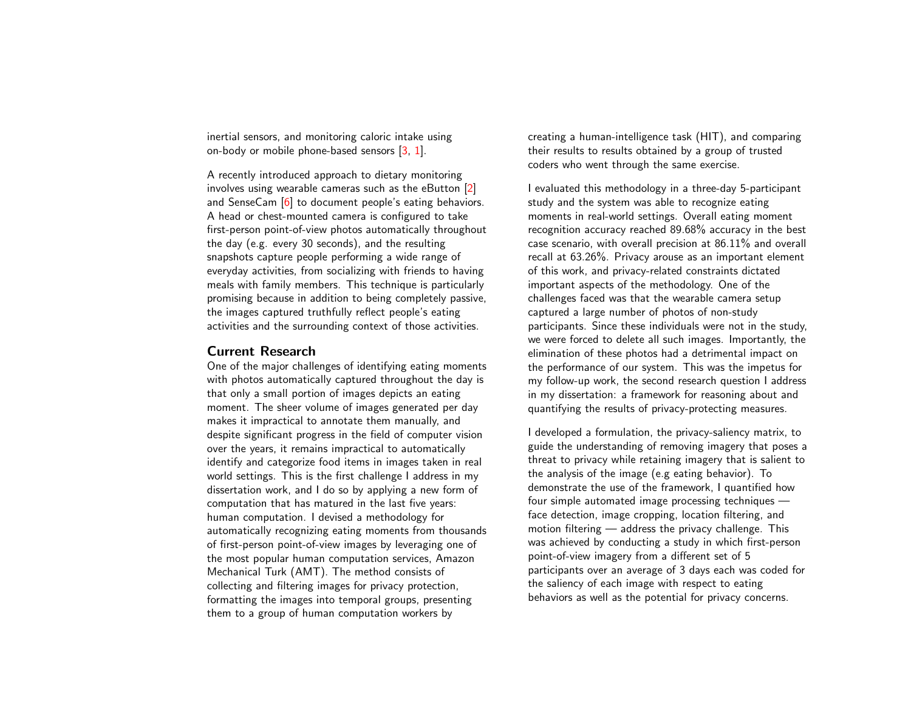inertial sensors, and monitoring caloric intake using on-body or mobile phone-based sensors [\[3,](#page-4-0) [1\]](#page-4-1).

A recently introduced approach to dietary monitoring involves using wearable cameras such as the eButton [\[2\]](#page-4-2) and SenseCam [\[6\]](#page-5-6) to document people's eating behaviors. A head or chest-mounted camera is configured to take first-person point-of-view photos automatically throughout the day (e.g. every 30 seconds), and the resulting snapshots capture people performing a wide range of everyday activities, from socializing with friends to having meals with family members. This technique is particularly promising because in addition to being completely passive, the images captured truthfully reflect people's eating activities and the surrounding context of those activities.

# Current Research

One of the major challenges of identifying eating moments with photos automatically captured throughout the day is that only a small portion of images depicts an eating moment. The sheer volume of images generated per day makes it impractical to annotate them manually, and despite significant progress in the field of computer vision over the years, it remains impractical to automatically identify and categorize food items in images taken in real world settings. This is the first challenge I address in my dissertation work, and I do so by applying a new form of computation that has matured in the last five years: human computation. I devised a methodology for automatically recognizing eating moments from thousands of first-person point-of-view images by leveraging one of the most popular human computation services, Amazon Mechanical Turk (AMT). The method consists of collecting and filtering images for privacy protection, formatting the images into temporal groups, presenting them to a group of human computation workers by

creating a human-intelligence task (HIT), and comparing their results to results obtained by a group of trusted coders who went through the same exercise.

I evaluated this methodology in a three-day 5-participant study and the system was able to recognize eating moments in real-world settings. Overall eating moment recognition accuracy reached 89.68% accuracy in the best case scenario, with overall precision at 86.11% and overall recall at 63.26%. Privacy arouse as an important element of this work, and privacy-related constraints dictated important aspects of the methodology. One of the challenges faced was that the wearable camera setup captured a large number of photos of non-study participants. Since these individuals were not in the study, we were forced to delete all such images. Importantly, the elimination of these photos had a detrimental impact on the performance of our system. This was the impetus for my follow-up work, the second research question I address in my dissertation: a framework for reasoning about and quantifying the results of privacy-protecting measures.

I developed a formulation, the privacy-saliency matrix, to guide the understanding of removing imagery that poses a threat to privacy while retaining imagery that is salient to the analysis of the image (e.g eating behavior). To demonstrate the use of the framework, I quantified how four simple automated image processing techniques face detection, image cropping, location filtering, and motion filtering — address the privacy challenge. This was achieved by conducting a study in which first-person point-of-view imagery from a different set of 5 participants over an average of 3 days each was coded for the saliency of each image with respect to eating behaviors as well as the potential for privacy concerns.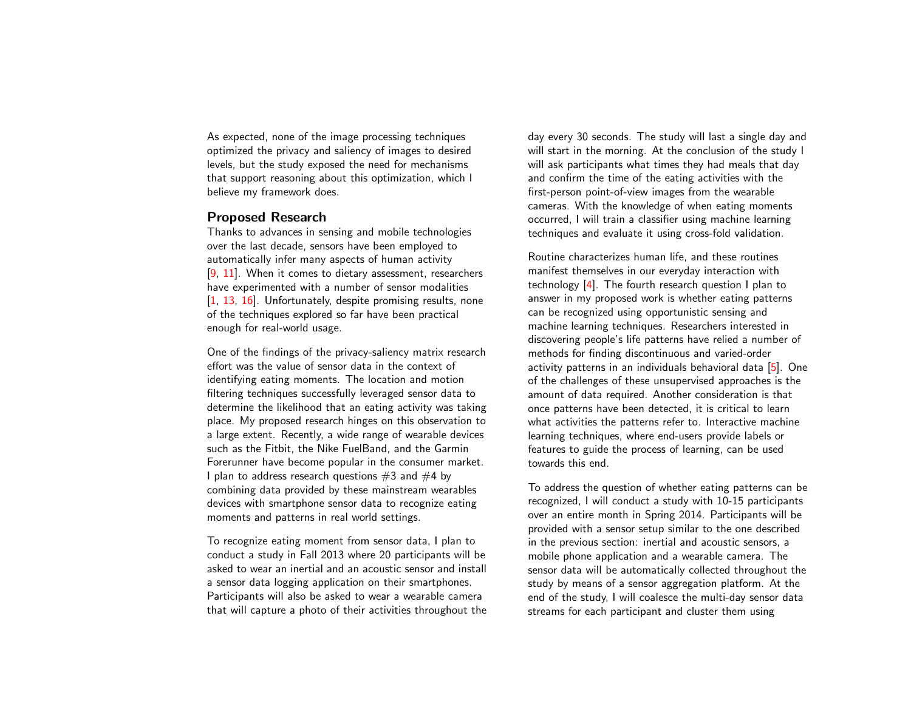As expected, none of the image processing techniques optimized the privacy and saliency of images to desired levels, but the study exposed the need for mechanisms that support reasoning about this optimization, which I believe my framework does.

#### Proposed Research

Thanks to advances in sensing and mobile technologies over the last decade, sensors have been employed to automatically infer many aspects of human activity [\[9,](#page-5-7) [11\]](#page-5-8). When it comes to dietary assessment, researchers have experimented with a number of sensor modalities [\[1,](#page-4-1) [13,](#page-5-9) [16\]](#page-5-10). Unfortunately, despite promising results, none of the techniques explored so far have been practical enough for real-world usage.

One of the findings of the privacy-saliency matrix research effort was the value of sensor data in the context of identifying eating moments. The location and motion filtering techniques successfully leveraged sensor data to determine the likelihood that an eating activity was taking place. My proposed research hinges on this observation to a large extent. Recently, a wide range of wearable devices such as the Fitbit, the Nike FuelBand, and the Garmin Forerunner have become popular in the consumer market. I plan to address research questions  $#3$  and  $#4$  by combining data provided by these mainstream wearables devices with smartphone sensor data to recognize eating moments and patterns in real world settings.

To recognize eating moment from sensor data, I plan to conduct a study in Fall 2013 where 20 participants will be asked to wear an inertial and an acoustic sensor and install a sensor data logging application on their smartphones. Participants will also be asked to wear a wearable camera that will capture a photo of their activities throughout the

day every 30 seconds. The study will last a single day and will start in the morning. At the conclusion of the study I will ask participants what times they had meals that day and confirm the time of the eating activities with the first-person point-of-view images from the wearable cameras. With the knowledge of when eating moments occurred, I will train a classifier using machine learning techniques and evaluate it using cross-fold validation.

Routine characterizes human life, and these routines manifest themselves in our everyday interaction with technology [\[4\]](#page-4-3). The fourth research question I plan to answer in my proposed work is whether eating patterns can be recognized using opportunistic sensing and machine learning techniques. Researchers interested in discovering people's life patterns have relied a number of methods for finding discontinuous and varied-order activity patterns in an individuals behavioral data [\[5\]](#page-5-11). One of the challenges of these unsupervised approaches is the amount of data required. Another consideration is that once patterns have been detected, it is critical to learn what activities the patterns refer to. Interactive machine learning techniques, where end-users provide labels or features to guide the process of learning, can be used towards this end.

To address the question of whether eating patterns can be recognized, I will conduct a study with 10-15 participants over an entire month in Spring 2014. Participants will be provided with a sensor setup similar to the one described in the previous section: inertial and acoustic sensors, a mobile phone application and a wearable camera. The sensor data will be automatically collected throughout the study by means of a sensor aggregation platform. At the end of the study, I will coalesce the multi-day sensor data streams for each participant and cluster them using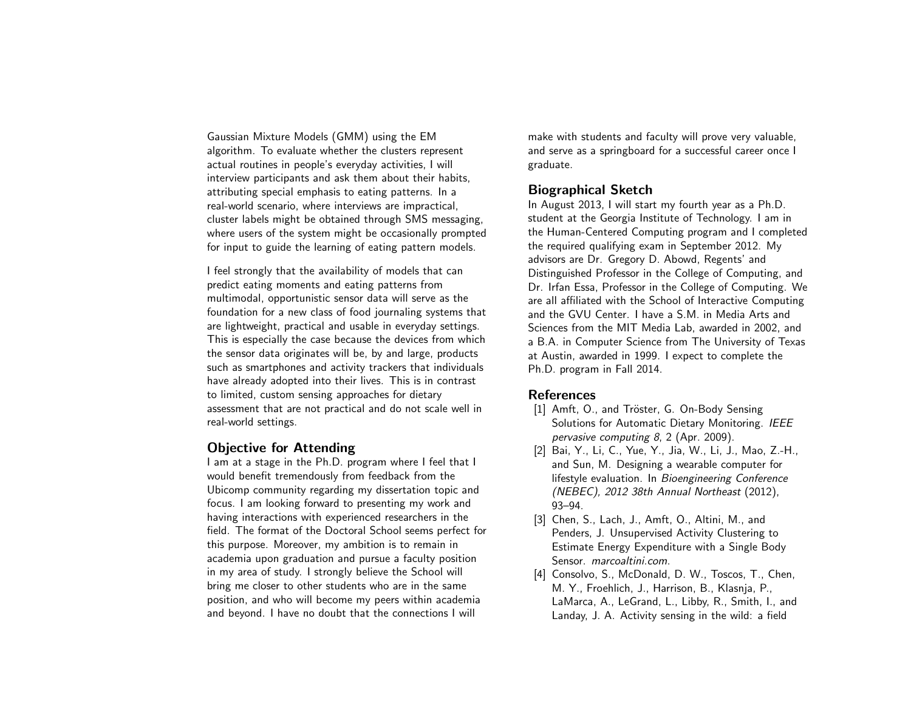Gaussian Mixture Models (GMM) using the EM algorithm. To evaluate whether the clusters represent actual routines in people's everyday activities, I will interview participants and ask them about their habits, attributing special emphasis to eating patterns. In a real-world scenario, where interviews are impractical, cluster labels might be obtained through SMS messaging, where users of the system might be occasionally prompted for input to guide the learning of eating pattern models.

I feel strongly that the availability of models that can predict eating moments and eating patterns from multimodal, opportunistic sensor data will serve as the foundation for a new class of food journaling systems that are lightweight, practical and usable in everyday settings. This is especially the case because the devices from which the sensor data originates will be, by and large, products such as smartphones and activity trackers that individuals have already adopted into their lives. This is in contrast to limited, custom sensing approaches for dietary assessment that are not practical and do not scale well in real-world settings.

### Objective for Attending

I am at a stage in the Ph.D. program where I feel that I would benefit tremendously from feedback from the Ubicomp community regarding my dissertation topic and focus. I am looking forward to presenting my work and having interactions with experienced researchers in the field. The format of the Doctoral School seems perfect for this purpose. Moreover, my ambition is to remain in academia upon graduation and pursue a faculty position in my area of study. I strongly believe the School will bring me closer to other students who are in the same position, and who will become my peers within academia and beyond. I have no doubt that the connections I will

make with students and faculty will prove very valuable, and serve as a springboard for a successful career once I graduate.

# Biographical Sketch

In August 2013, I will start my fourth year as a Ph.D. student at the Georgia Institute of Technology. I am in the Human-Centered Computing program and I completed the required qualifying exam in September 2012. My advisors are Dr. Gregory D. Abowd, Regents' and Distinguished Professor in the College of Computing, and Dr. Irfan Essa, Professor in the College of Computing. We are all affiliated with the School of Interactive Computing and the GVU Center. I have a S.M. in Media Arts and Sciences from the MIT Media Lab, awarded in 2002, and a B.A. in Computer Science from The University of Texas at Austin, awarded in 1999. I expect to complete the Ph.D. program in Fall 2014.

# **References**

- <span id="page-4-1"></span>[1] Amft, O., and Tröster, G. On-Body Sensing Solutions for Automatic Dietary Monitoring. IEEE pervasive computing 8, 2 (Apr. 2009).
- <span id="page-4-2"></span>[2] Bai, Y., Li, C., Yue, Y., Jia, W., Li, J., Mao, Z.-H., and Sun, M. Designing a wearable computer for lifestyle evaluation. In Bioengineering Conference (NEBEC), 2012 38th Annual Northeast (2012), 93–94.
- <span id="page-4-0"></span>[3] Chen, S., Lach, J., Amft, O., Altini, M., and Penders, J. Unsupervised Activity Clustering to Estimate Energy Expenditure with a Single Body Sensor. marcoaltini.com.
- <span id="page-4-3"></span>[4] Consolvo, S., McDonald, D. W., Toscos, T., Chen, M. Y., Froehlich, J., Harrison, B., Klasnja, P., LaMarca, A., LeGrand, L., Libby, R., Smith, I., and Landay, J. A. Activity sensing in the wild: a field